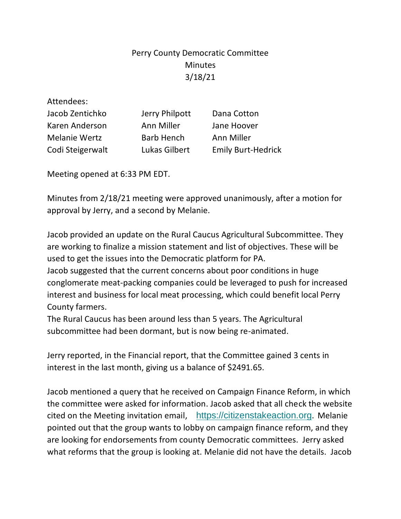## Perry County Democratic Committee Minutes 3/18/21

| <b>Emily Burt-Hedrick</b> |
|---------------------------|
|                           |

Meeting opened at 6:33 PM EDT.

Minutes from 2/18/21 meeting were approved unanimously, after a motion for approval by Jerry, and a second by Melanie.

Jacob provided an update on the Rural Caucus Agricultural Subcommittee. They are working to finalize a mission statement and list of objectives. These will be used to get the issues into the Democratic platform for PA.

Jacob suggested that the current concerns about poor conditions in huge conglomerate meat-packing companies could be leveraged to push for increased interest and business for local meat processing, which could benefit local Perry County farmers.

The Rural Caucus has been around less than 5 years. The Agricultural subcommittee had been dormant, but is now being re-animated.

Jerry reported, in the Financial report, that the Committee gained 3 cents in interest in the last month, giving us a balance of \$2491.65.

Jacob mentioned a query that he received on Campaign Finance Reform, in which the committee were asked for information. Jacob asked that all check the website cited on the Meeting invitation email, [https://citizenstakeaction.org](https://citizenstakeaction.org/). Melanie pointed out that the group wants to lobby on campaign finance reform, and they are looking for endorsements from county Democratic committees. Jerry asked what reforms that the group is looking at. Melanie did not have the details. Jacob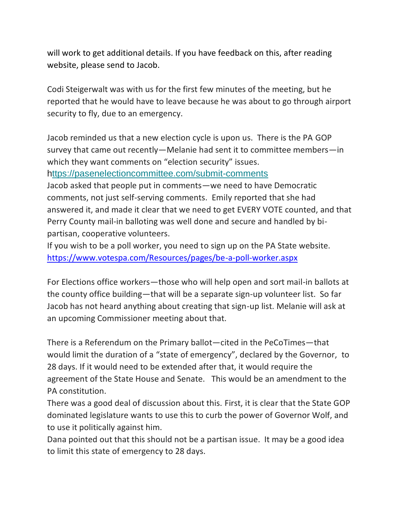will work to get additional details. If you have feedback on this, after reading website, please send to Jacob.

Codi Steigerwalt was with us for the first few minutes of the meeting, but he reported that he would have to leave because he was about to go through airport security to fly, due to an emergency.

Jacob reminded us that a new election cycle is upon us. There is the PA GOP survey that came out recently—Melanie had sent it to committee members—in which they want comments on "election security" issues. [https://pasenelectioncommittee.com/submit-comments](https://perrycountydems.us12.list-manage.com/track/click?u=76376a873b8fb3ee1183684da&id=2e584585f0&e=c9aca7d9a5)

Jacob asked that people put in comments—we need to have Democratic comments, not just self-serving comments. Emily reported that she had answered it, and made it clear that we need to get EVERY VOTE counted, and that Perry County mail-in balloting was well done and secure and handled by bipartisan, cooperative volunteers.

If you wish to be a poll worker, you need to sign up on the PA State website. <https://www.votespa.com/Resources/pages/be-a-poll-worker.aspx>

For Elections office workers—those who will help open and sort mail-in ballots at the county office building—that will be a separate sign-up volunteer list. So far Jacob has not heard anything about creating that sign-up list. Melanie will ask at an upcoming Commissioner meeting about that.

There is a Referendum on the Primary ballot—cited in the PeCoTimes—that would limit the duration of a "state of emergency", declared by the Governor, to 28 days. If it would need to be extended after that, it would require the agreement of the State House and Senate. This would be an amendment to the PA constitution.

There was a good deal of discussion about this. First, it is clear that the State GOP dominated legislature wants to use this to curb the power of Governor Wolf, and to use it politically against him.

Dana pointed out that this should not be a partisan issue. It may be a good idea to limit this state of emergency to 28 days.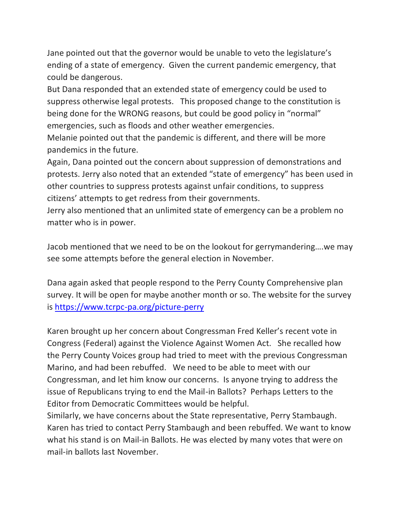Jane pointed out that the governor would be unable to veto the legislature's ending of a state of emergency. Given the current pandemic emergency, that could be dangerous.

But Dana responded that an extended state of emergency could be used to suppress otherwise legal protests. This proposed change to the constitution is being done for the WRONG reasons, but could be good policy in "normal" emergencies, such as floods and other weather emergencies.

Melanie pointed out that the pandemic is different, and there will be more pandemics in the future.

Again, Dana pointed out the concern about suppression of demonstrations and protests. Jerry also noted that an extended "state of emergency" has been used in other countries to suppress protests against unfair conditions, to suppress citizens' attempts to get redress from their governments.

Jerry also mentioned that an unlimited state of emergency can be a problem no matter who is in power.

Jacob mentioned that we need to be on the lookout for gerrymandering….we may see some attempts before the general election in November.

Dana again asked that people respond to the Perry County Comprehensive plan survey. It will be open for maybe another month or so. The website for the survey is<https://www.tcrpc-pa.org/picture-perry>

Karen brought up her concern about Congressman Fred Keller's recent vote in Congress (Federal) against the Violence Against Women Act. She recalled how the Perry County Voices group had tried to meet with the previous Congressman Marino, and had been rebuffed. We need to be able to meet with our Congressman, and let him know our concerns. Is anyone trying to address the issue of Republicans trying to end the Mail-in Ballots? Perhaps Letters to the Editor from Democratic Committees would be helpful.

Similarly, we have concerns about the State representative, Perry Stambaugh. Karen has tried to contact Perry Stambaugh and been rebuffed. We want to know what his stand is on Mail-in Ballots. He was elected by many votes that were on mail-in ballots last November.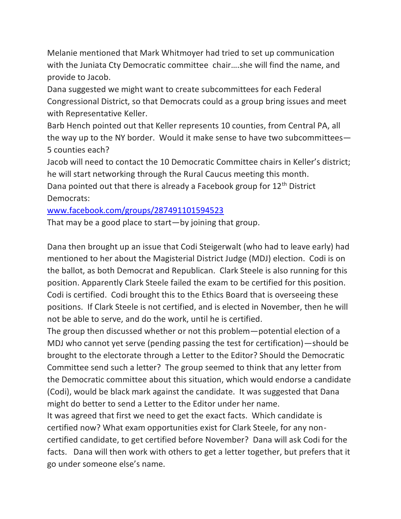Melanie mentioned that Mark Whitmoyer had tried to set up communication with the Juniata Cty Democratic committee chair….she will find the name, and provide to Jacob.

Dana suggested we might want to create subcommittees for each Federal Congressional District, so that Democrats could as a group bring issues and meet with Representative Keller.

Barb Hench pointed out that Keller represents 10 counties, from Central PA, all the way up to the NY border. Would it make sense to have two subcommittees— 5 counties each?

Jacob will need to contact the 10 Democratic Committee chairs in Keller's district; he will start networking through the Rural Caucus meeting this month. Dana pointed out that there is already a Facebook group for 12<sup>th</sup> District Democrats:

[www.facebook.com/groups/287491101594523](http://www.facebook.com/groups/287491101594523)

That may be a good place to start—by joining that group.

Dana then brought up an issue that Codi Steigerwalt (who had to leave early) had mentioned to her about the Magisterial District Judge (MDJ) election. Codi is on the ballot, as both Democrat and Republican. Clark Steele is also running for this position. Apparently Clark Steele failed the exam to be certified for this position. Codi is certified. Codi brought this to the Ethics Board that is overseeing these positions. If Clark Steele is not certified, and is elected in November, then he will not be able to serve, and do the work, until he is certified.

The group then discussed whether or not this problem—potential election of a MDJ who cannot yet serve (pending passing the test for certification)—should be brought to the electorate through a Letter to the Editor? Should the Democratic Committee send such a letter? The group seemed to think that any letter from the Democratic committee about this situation, which would endorse a candidate (Codi), would be black mark against the candidate. It was suggested that Dana might do better to send a Letter to the Editor under her name.

It was agreed that first we need to get the exact facts. Which candidate is certified now? What exam opportunities exist for Clark Steele, for any noncertified candidate, to get certified before November? Dana will ask Codi for the facts. Dana will then work with others to get a letter together, but prefers that it go under someone else's name.